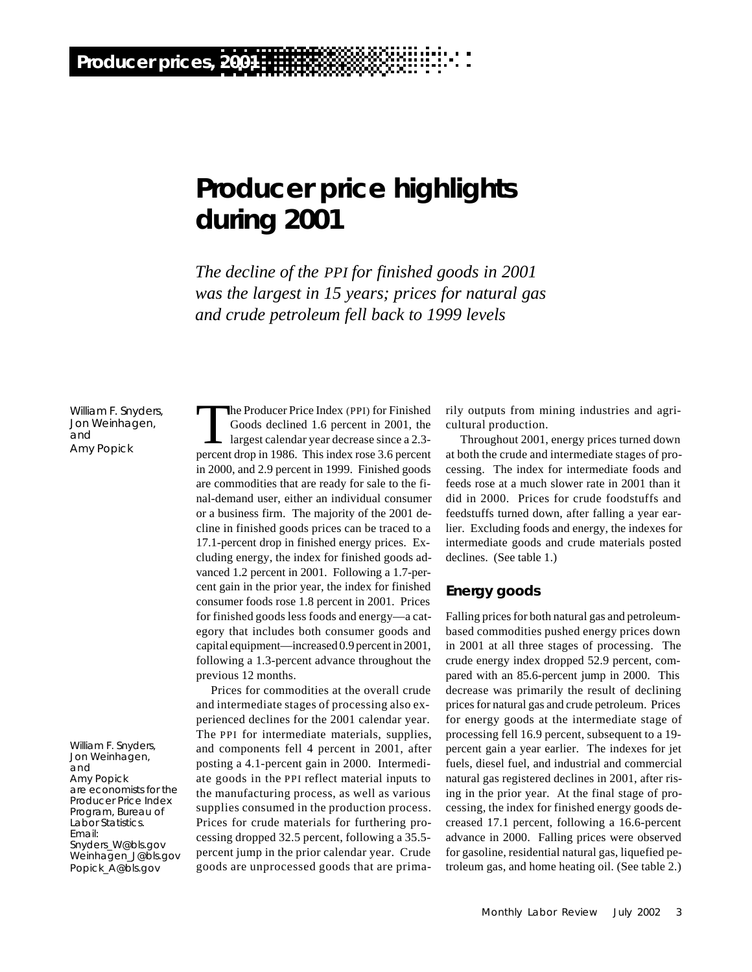# **Producer price highlights during 2001**

*The decline of the PPI for finished goods in 2001 was the largest in 15 years; prices for natural gas and crude petroleum fell back to 1999 levels*

William F. Snyders, Jon Weinhagen, and Amy Popick

William F. Snyders, Jon Weinhagen, and Amy Popick are economists for the Producer Price Index Program, Bureau of Labor Statistics. Email: Snyders\_W@bls.gov Weinhagen\_J@bls.gov Popick\_A@bls.gov

The Producer Price Index (PPI) for Finished<br>Goods declined 1.6 percent in 2001, the<br>largest calendar year decrease since a 2.3-<br>percent drop in 1986. This index rose 3.6 percent he Producer Price Index (PPI) for Finished Goods declined 1.6 percent in 2001, the largest calendar year decrease since a 2.3 in 2000, and 2.9 percent in 1999. Finished goods are commodities that are ready for sale to the final-demand user, either an individual consumer or a business firm. The majority of the 2001 decline in finished goods prices can be traced to a 17.1-percent drop in finished energy prices. Excluding energy, the index for finished goods advanced 1.2 percent in 2001. Following a 1.7-percent gain in the prior year, the index for finished consumer foods rose 1.8 percent in 2001. Prices for finished goods less foods and energy—a category that includes both consumer goods and capital equipment—increased 0.9 percent in 2001, following a 1.3-percent advance throughout the previous 12 months.

Prices for commodities at the overall crude and intermediate stages of processing also experienced declines for the 2001 calendar year. The PPI for intermediate materials, supplies, and components fell 4 percent in 2001, after posting a 4.1-percent gain in 2000. Intermediate goods in the PPI reflect material inputs to the manufacturing process, as well as various supplies consumed in the production process. Prices for crude materials for furthering processing dropped 32.5 percent, following a 35.5 percent jump in the prior calendar year. Crude goods are unprocessed goods that are primarily outputs from mining industries and agricultural production.

Throughout 2001, energy prices turned down at both the crude and intermediate stages of processing. The index for intermediate foods and feeds rose at a much slower rate in 2001 than it did in 2000. Prices for crude foodstuffs and feedstuffs turned down, after falling a year earlier. Excluding foods and energy, the indexes for intermediate goods and crude materials posted declines. (See table 1.)

#### **Energy goods**

Falling prices for both natural gas and petroleumbased commodities pushed energy prices down in 2001 at all three stages of processing. The crude energy index dropped 52.9 percent, compared with an 85.6-percent jump in 2000. This decrease was primarily the result of declining prices for natural gas and crude petroleum. Prices for energy goods at the intermediate stage of processing fell 16.9 percent, subsequent to a 19 percent gain a year earlier. The indexes for jet fuels, diesel fuel, and industrial and commercial natural gas registered declines in 2001, after rising in the prior year. At the final stage of processing, the index for finished energy goods decreased 17.1 percent, following a 16.6-percent advance in 2000. Falling prices were observed for gasoline, residential natural gas, liquefied petroleum gas, and home heating oil. (See table 2.)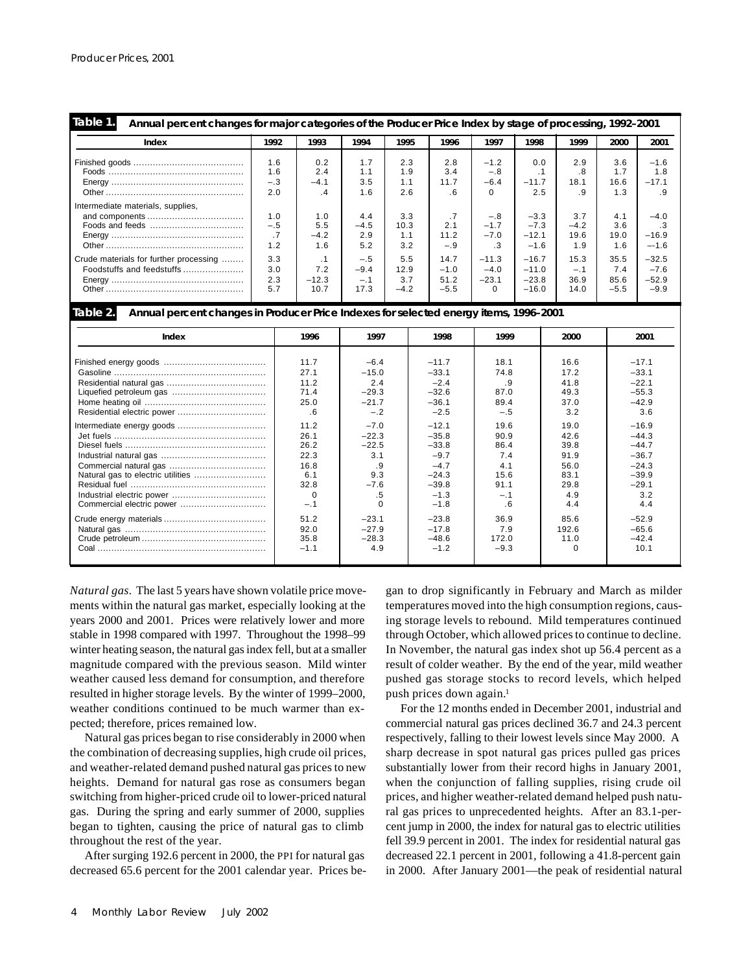| Table 1.<br>Annual percent changes for major categories of the Producer Price Index by stage of processing, 1992–2001 |                            |                                 |                                  |                              |                                  |                                          |                                          |                               |                               |                                        |
|-----------------------------------------------------------------------------------------------------------------------|----------------------------|---------------------------------|----------------------------------|------------------------------|----------------------------------|------------------------------------------|------------------------------------------|-------------------------------|-------------------------------|----------------------------------------|
| Index                                                                                                                 | 1992                       | 1993                            | 1994                             | 1995                         | 1996                             | 1997                                     | 1998                                     | 1999                          | 2000                          | 2001                                   |
|                                                                                                                       | 1.6<br>1.6<br>$-.3$<br>2.0 | 0.2<br>2.4<br>$-4.1$<br>$\cdot$ | 1.7<br>1.1<br>3.5<br>1.6         | 2.3<br>1.9<br>1.1<br>2.6     | 2.8<br>3.4<br>11.7<br>. 6        | $-1.2$<br>$-.8$<br>$-6.4$<br>$\Omega$    | 0.0<br>. 1<br>$-11.7$<br>2.5             | 2.9<br>.8<br>18.1<br>. 9      | 3.6<br>1.7<br>16.6<br>1.3     | $-1.6$<br>1.8<br>$-17.1$<br>. 9        |
| Intermediate materials, supplies,                                                                                     | 1.0<br>$-.5$<br>.7<br>1.2  | 1.0<br>5.5<br>$-4.2$<br>1.6     | 4.4<br>$-4.5$<br>2.9<br>5.2      | 3.3<br>10.3<br>1.1<br>3.2    | .7<br>2.1<br>11.2<br>$-.9$       | $-.8$<br>$-1.7$<br>$-7.0$<br>$\cdot$ 3   | $-3.3$<br>$-7.3$<br>$-12.1$<br>$-1.6$    | 3.7<br>$-4.2$<br>19.6<br>1.9  | 4.1<br>3.6<br>19.0<br>1.6     | $-4.0$<br>.3<br>$-16.9$<br>$-1.6$      |
| Crude materials for further processing<br>Foodstuffs and feedstuffs                                                   | 3.3<br>3.0<br>2.3<br>5.7   | . 1<br>7.2<br>$-12.3$<br>10.7   | $-.5$<br>$-9.4$<br>$-.1$<br>17.3 | 5.5<br>12.9<br>3.7<br>$-4.2$ | 14.7<br>$-1.0$<br>51.2<br>$-5.5$ | $-11.3$<br>$-4.0$<br>$-23.1$<br>$\Omega$ | $-16.7$<br>$-11.0$<br>$-23.8$<br>$-16.0$ | 15.3<br>$-.1$<br>36.9<br>14.0 | 35.5<br>7.4<br>85.6<br>$-5.5$ | $-32.5$<br>$-7.6$<br>$-52.9$<br>$-9.9$ |

**Table 2.**

**Annual percent changes in Producer Price Indexes for selected energy items, 1996–2001**

| Index                             | 1996     | 1997    | 1998    | 1999   | 2000     | 2001    |
|-----------------------------------|----------|---------|---------|--------|----------|---------|
|                                   | 11.7     | $-6.4$  | $-11.7$ | 18.1   | 16.6     | $-17.1$ |
|                                   | 27.1     | $-15.0$ | $-33.1$ | 74.8   | 17.2     | $-33.1$ |
|                                   | 11.2     | 2.4     | $-2.4$  | .9     | 41.8     | $-22.1$ |
|                                   | 71.4     | $-29.3$ | $-32.6$ | 87.0   | 49.3     | $-55.3$ |
|                                   | 25.0     | $-21.7$ | $-36.1$ | 89.4   | 37.0     | $-42.9$ |
|                                   | .6       | $-2$    | $-2.5$  | $-.5$  | 3.2      | 3.6     |
|                                   | 11.2     | $-7.0$  | $-12.1$ | 19.6   | 19.0     | $-16.9$ |
|                                   | 26.1     | $-22.3$ | $-35.8$ | 90.9   | 42.6     | $-44.3$ |
|                                   | 26.2     | $-22.5$ | $-33.8$ | 86.4   | 39.8     | $-44.7$ |
|                                   | 22.3     | 3.1     | $-9.7$  | 7.4    | 91.9     | $-36.7$ |
|                                   | 16.8     | .9      | $-4.7$  | 4.1    | 56.0     | $-24.3$ |
| Natural gas to electric utilities | 6.1      | 9.3     | $-24.3$ | 15.6   | 83.1     | $-39.9$ |
|                                   | 32.8     | $-7.6$  | $-39.8$ | 91.1   | 29.8     | $-29.1$ |
|                                   | $\Omega$ | .5      | $-1.3$  | $-.1$  | 4.9      | 3.2     |
|                                   | $-.1$    |         | $-1.8$  | .6     | 4.4      | 4.4     |
|                                   | 51.2     | $-23.1$ | $-23.8$ | 36.9   | 85.6     | $-52.9$ |
|                                   | 92.0     | $-27.9$ | $-17.8$ | 7.9    | 192.6    | $-65.6$ |
|                                   | 35.8     | $-28.3$ | $-48.6$ | 172.0  | 11.0     | $-42.4$ |
|                                   | $-1.1$   | 4.9     | $-1.2$  | $-9.3$ | $\Omega$ | 10.1    |
|                                   |          |         |         |        |          |         |

*Natural gas.* The last 5 years have shown volatile price movements within the natural gas market, especially looking at the years 2000 and 2001. Prices were relatively lower and more stable in 1998 compared with 1997. Throughout the 1998–99 winter heating season, the natural gas index fell, but at a smaller magnitude compared with the previous season. Mild winter weather caused less demand for consumption, and therefore resulted in higher storage levels. By the winter of 1999–2000, weather conditions continued to be much warmer than expected; therefore, prices remained low.

Natural gas prices began to rise considerably in 2000 when the combination of decreasing supplies, high crude oil prices, and weather-related demand pushed natural gas prices to new heights. Demand for natural gas rose as consumers began switching from higher-priced crude oil to lower-priced natural gas. During the spring and early summer of 2000, supplies began to tighten, causing the price of natural gas to climb throughout the rest of the year.

After surging 192.6 percent in 2000, the PPI for natural gas decreased 65.6 percent for the 2001 calendar year. Prices began to drop significantly in February and March as milder temperatures moved into the high consumption regions, causing storage levels to rebound. Mild temperatures continued through October, which allowed prices to continue to decline. In November, the natural gas index shot up 56.4 percent as a result of colder weather. By the end of the year, mild weather pushed gas storage stocks to record levels, which helped push prices down again.<sup>1</sup>

For the 12 months ended in December 2001, industrial and commercial natural gas prices declined 36.7 and 24.3 percent respectively, falling to their lowest levels since May 2000. A sharp decrease in spot natural gas prices pulled gas prices substantially lower from their record highs in January 2001, when the conjunction of falling supplies, rising crude oil prices, and higher weather-related demand helped push natural gas prices to unprecedented heights. After an 83.1-percent jump in 2000, the index for natural gas to electric utilities fell 39.9 percent in 2001. The index for residential natural gas decreased 22.1 percent in 2001, following a 41.8-percent gain in 2000. After January 2001—the peak of residential natural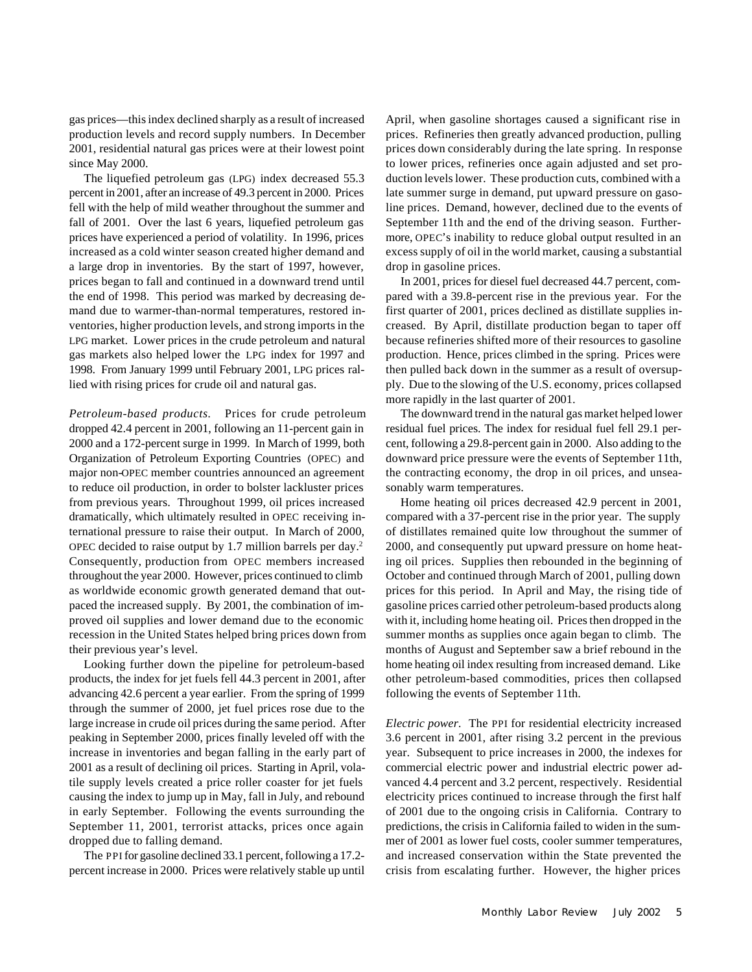gas prices—this index declined sharply as a result of increased production levels and record supply numbers. In December 2001, residential natural gas prices were at their lowest point since May 2000.

The liquefied petroleum gas (LPG) index decreased 55.3 percent in 2001, after an increase of 49.3 percent in 2000. Prices fell with the help of mild weather throughout the summer and fall of 2001. Over the last 6 years, liquefied petroleum gas prices have experienced a period of volatility. In 1996, prices increased as a cold winter season created higher demand and a large drop in inventories. By the start of 1997, however, prices began to fall and continued in a downward trend until the end of 1998. This period was marked by decreasing demand due to warmer-than-normal temperatures, restored inventories, higher production levels, and strong imports in the LPG market. Lower prices in the crude petroleum and natural gas markets also helped lower the LPG index for 1997 and 1998. From January 1999 until February 2001, LPG prices rallied with rising prices for crude oil and natural gas.

*Petroleum-based products.* Prices for crude petroleum dropped 42.4 percent in 2001, following an 11-percent gain in 2000 and a 172-percent surge in 1999. In March of 1999, both Organization of Petroleum Exporting Countries (OPEC) and major non-OPEC member countries announced an agreement to reduce oil production, in order to bolster lackluster prices from previous years. Throughout 1999, oil prices increased dramatically, which ultimately resulted in OPEC receiving international pressure to raise their output. In March of 2000, OPEC decided to raise output by 1.7 million barrels per day.<sup>2</sup> Consequently, production from OPEC members increased throughout the year 2000. However, prices continued to climb as worldwide economic growth generated demand that outpaced the increased supply. By 2001, the combination of improved oil supplies and lower demand due to the economic recession in the United States helped bring prices down from their previous year's level.

Looking further down the pipeline for petroleum-based products, the index for jet fuels fell 44.3 percent in 2001, after advancing 42.6 percent a year earlier. From the spring of 1999 through the summer of 2000, jet fuel prices rose due to the large increase in crude oil prices during the same period. After peaking in September 2000, prices finally leveled off with the increase in inventories and began falling in the early part of 2001 as a result of declining oil prices. Starting in April, volatile supply levels created a price roller coaster for jet fuels causing the index to jump up in May, fall in July, and rebound in early September. Following the events surrounding the September 11, 2001, terrorist attacks, prices once again dropped due to falling demand.

The PPI for gasoline declined 33.1 percent, following a 17.2 percent increase in 2000. Prices were relatively stable up until April, when gasoline shortages caused a significant rise in prices. Refineries then greatly advanced production, pulling prices down considerably during the late spring. In response to lower prices, refineries once again adjusted and set production levels lower. These production cuts, combined with a late summer surge in demand, put upward pressure on gasoline prices. Demand, however, declined due to the events of September 11th and the end of the driving season. Furthermore, OPEC's inability to reduce global output resulted in an excess supply of oil in the world market, causing a substantial drop in gasoline prices.

In 2001, prices for diesel fuel decreased 44.7 percent, compared with a 39.8-percent rise in the previous year. For the first quarter of 2001, prices declined as distillate supplies increased. By April, distillate production began to taper off because refineries shifted more of their resources to gasoline production. Hence, prices climbed in the spring. Prices were then pulled back down in the summer as a result of oversupply. Due to the slowing of the U.S. economy, prices collapsed more rapidly in the last quarter of 2001.

The downward trend in the natural gas market helped lower residual fuel prices. The index for residual fuel fell 29.1 percent, following a 29.8-percent gain in 2000. Also adding to the downward price pressure were the events of September 11th, the contracting economy, the drop in oil prices, and unseasonably warm temperatures.

Home heating oil prices decreased 42.9 percent in 2001, compared with a 37-percent rise in the prior year. The supply of distillates remained quite low throughout the summer of 2000, and consequently put upward pressure on home heating oil prices. Supplies then rebounded in the beginning of October and continued through March of 2001, pulling down prices for this period. In April and May, the rising tide of gasoline prices carried other petroleum-based products along with it, including home heating oil. Prices then dropped in the summer months as supplies once again began to climb. The months of August and September saw a brief rebound in the home heating oil index resulting from increased demand. Like other petroleum-based commodities, prices then collapsed following the events of September 11th.

*Electric power.* The PPI for residential electricity increased 3.6 percent in 2001, after rising 3.2 percent in the previous year. Subsequent to price increases in 2000, the indexes for commercial electric power and industrial electric power advanced 4.4 percent and 3.2 percent, respectively. Residential electricity prices continued to increase through the first half of 2001 due to the ongoing crisis in California. Contrary to predictions, the crisis in California failed to widen in the summer of 2001 as lower fuel costs, cooler summer temperatures, and increased conservation within the State prevented the crisis from escalating further. However, the higher prices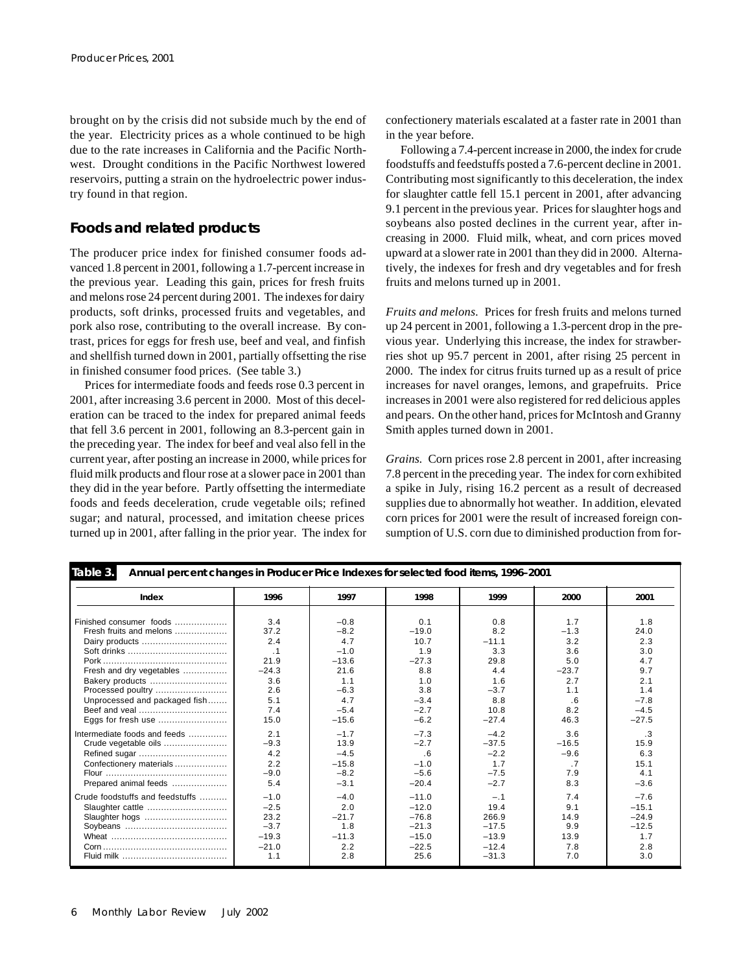brought on by the crisis did not subside much by the end of the year. Electricity prices as a whole continued to be high due to the rate increases in California and the Pacific Northwest. Drought conditions in the Pacific Northwest lowered reservoirs, putting a strain on the hydroelectric power industry found in that region.

## **Foods and related products**

The producer price index for finished consumer foods advanced 1.8 percent in 2001, following a 1.7-percent increase in the previous year. Leading this gain, prices for fresh fruits and melons rose 24 percent during 2001. The indexes for dairy products, soft drinks, processed fruits and vegetables, and pork also rose, contributing to the overall increase. By contrast, prices for eggs for fresh use, beef and veal, and finfish and shellfish turned down in 2001, partially offsetting the rise in finished consumer food prices. (See table 3.)

Prices for intermediate foods and feeds rose 0.3 percent in 2001, after increasing 3.6 percent in 2000. Most of this deceleration can be traced to the index for prepared animal feeds that fell 3.6 percent in 2001, following an 8.3-percent gain in the preceding year. The index for beef and veal also fell in the current year, after posting an increase in 2000, while prices for fluid milk products and flour rose at a slower pace in 2001 than they did in the year before. Partly offsetting the intermediate foods and feeds deceleration, crude vegetable oils; refined sugar; and natural, processed, and imitation cheese prices turned up in 2001, after falling in the prior year. The index for

confectionery materials escalated at a faster rate in 2001 than in the year before.

Following a 7.4-percent increase in 2000, the index for crude foodstuffs and feedstuffs posted a 7.6-percent decline in 2001. Contributing most significantly to this deceleration, the index for slaughter cattle fell 15.1 percent in 2001, after advancing 9.1 percent in the previous year. Prices for slaughter hogs and soybeans also posted declines in the current year, after increasing in 2000. Fluid milk, wheat, and corn prices moved upward at a slower rate in 2001 than they did in 2000. Alternatively, the indexes for fresh and dry vegetables and for fresh fruits and melons turned up in 2001.

*Fruits and melons.* Prices for fresh fruits and melons turned up 24 percent in 2001, following a 1.3-percent drop in the previous year. Underlying this increase, the index for strawberries shot up 95.7 percent in 2001, after rising 25 percent in 2000. The index for citrus fruits turned up as a result of price increases for navel oranges, lemons, and grapefruits. Price increases in 2001 were also registered for red delicious apples and pears. On the other hand, prices for McIntosh and Granny Smith apples turned down in 2001.

*Grains.* Corn prices rose 2.8 percent in 2001, after increasing 7.8 percent in the preceding year. The index for corn exhibited a spike in July, rising 16.2 percent as a result of decreased supplies due to abnormally hot weather. In addition, elevated corn prices for 2001 were the result of increased foreign consumption of U.S. corn due to diminished production from for-

| Table 3.<br>Annual percent changes in Producer Price Indexes for selected food items, 1996-2001 |           |         |         |         |         |           |
|-------------------------------------------------------------------------------------------------|-----------|---------|---------|---------|---------|-----------|
| Index                                                                                           | 1996      | 1997    | 1998    | 1999    | 2000    | 2001      |
| Finished consumer foods                                                                         | 3.4       | $-0.8$  | 0.1     | 0.8     | 1.7     | 1.8       |
| Fresh fruits and melons                                                                         | 37.2      | $-8.2$  | $-19.0$ | 8.2     | $-1.3$  | 24.0      |
| Dairy products                                                                                  | 2.4       | 4.7     | 10.7    | $-11.1$ | 3.2     | 2.3       |
|                                                                                                 | $\cdot$ 1 | $-1.0$  | 1.9     | 3.3     | 3.6     | 3.0       |
|                                                                                                 | 21.9      | $-13.6$ | $-27.3$ | 29.8    | 5.0     | 4.7       |
| Fresh and dry vegetables                                                                        | $-24.3$   | 21.6    | 8.8     | 4.4     | $-23.7$ | 9.7       |
| Bakery products                                                                                 | 3.6       | 1.1     | 1.0     | 1.6     | 2.7     | 2.1       |
| Processed poultry                                                                               | 2.6       | $-6.3$  | 3.8     | $-3.7$  | 1.1     | 1.4       |
| Unprocessed and packaged fish                                                                   | 5.1       | 4.7     | $-3.4$  | 8.8     | .6      | $-7.8$    |
|                                                                                                 | 7.4       | $-5.4$  | $-2.7$  | 10.8    | 8.2     | $-4.5$    |
| Eggs for fresh use                                                                              | 15.0      | $-15.6$ | $-6.2$  | $-27.4$ | 46.3    | $-27.5$   |
| Intermediate foods and feeds                                                                    | 2.1       | $-1.7$  | $-7.3$  | $-4.2$  | 3.6     | $\cdot$ 3 |
| Crude vegetable oils                                                                            | $-9.3$    | 13.9    | $-2.7$  | $-37.5$ | $-16.5$ | 15.9      |
|                                                                                                 | 4.2       | $-4.5$  | .6      | $-2.2$  | $-9.6$  | 6.3       |
| Confectionery materials                                                                         | 2.2       | $-15.8$ | $-1.0$  | 1.7     | .7      | 15.1      |
|                                                                                                 | $-9.0$    | $-8.2$  | $-5.6$  | $-7.5$  | 7.9     | 4.1       |
| Prepared animal feeds                                                                           | 5.4       | $-3.1$  | $-20.4$ | $-2.7$  | 8.3     | $-3.6$    |
| Crude foodstuffs and feedstuffs                                                                 | $-1.0$    | $-4.0$  | $-11.0$ | $-.1$   | 7.4     | $-7.6$    |
| Slaughter cattle                                                                                | $-2.5$    | 2.0     | $-12.0$ | 19.4    | 9.1     | $-15.1$   |
| Slaughter hogs                                                                                  | 23.2      | $-21.7$ | $-76.8$ | 266.9   | 14.9    | $-24.9$   |
|                                                                                                 | $-3.7$    | 1.8     | $-21.3$ | $-17.5$ | 9.9     | $-12.5$   |
|                                                                                                 | $-19.3$   | $-11.3$ | $-15.0$ | $-13.9$ | 13.9    | 1.7       |
|                                                                                                 | $-21.0$   | 2.2     | $-22.5$ | $-12.4$ | 7.8     | 2.8       |
|                                                                                                 | 1.1       | 2.8     | 25.6    | $-31.3$ | 7.0     | 3.0       |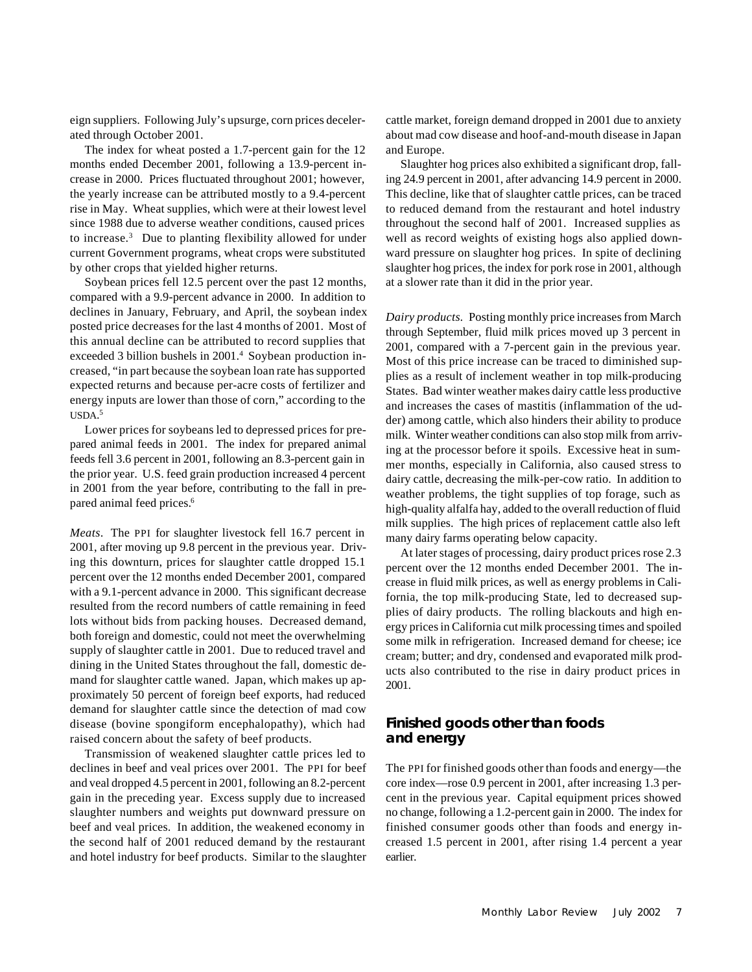eign suppliers. Following July's upsurge, corn prices decelerated through October 2001.

The index for wheat posted a 1.7-percent gain for the 12 months ended December 2001, following a 13.9-percent increase in 2000. Prices fluctuated throughout 2001; however, the yearly increase can be attributed mostly to a 9.4-percent rise in May. Wheat supplies, which were at their lowest level since 1988 due to adverse weather conditions, caused prices to increase.<sup>3</sup> Due to planting flexibility allowed for under current Government programs, wheat crops were substituted by other crops that yielded higher returns.

Soybean prices fell 12.5 percent over the past 12 months, compared with a 9.9-percent advance in 2000. In addition to declines in January, February, and April, the soybean index posted price decreases for the last 4 months of 2001. Most of this annual decline can be attributed to record supplies that exceeded 3 billion bushels in 2001.<sup>4</sup> Soybean production increased, "in part because the soybean loan rate has supported expected returns and because per-acre costs of fertilizer and energy inputs are lower than those of corn," according to the USDA. 5

Lower prices for soybeans led to depressed prices for prepared animal feeds in 2001. The index for prepared animal feeds fell 3.6 percent in 2001, following an 8.3-percent gain in the prior year. U.S. feed grain production increased 4 percent in 2001 from the year before, contributing to the fall in prepared animal feed prices.<sup>6</sup>

*Meats*. The PPI for slaughter livestock fell 16.7 percent in 2001, after moving up 9.8 percent in the previous year. Driving this downturn, prices for slaughter cattle dropped 15.1 percent over the 12 months ended December 2001, compared with a 9.1-percent advance in 2000. This significant decrease resulted from the record numbers of cattle remaining in feed lots without bids from packing houses. Decreased demand, both foreign and domestic, could not meet the overwhelming supply of slaughter cattle in 2001. Due to reduced travel and dining in the United States throughout the fall, domestic demand for slaughter cattle waned. Japan, which makes up approximately 50 percent of foreign beef exports, had reduced demand for slaughter cattle since the detection of mad cow disease (bovine spongiform encephalopathy), which had raised concern about the safety of beef products.

Transmission of weakened slaughter cattle prices led to declines in beef and veal prices over 2001. The PPI for beef and veal dropped 4.5 percent in 2001, following an 8.2-percent gain in the preceding year. Excess supply due to increased slaughter numbers and weights put downward pressure on beef and veal prices. In addition, the weakened economy in the second half of 2001 reduced demand by the restaurant and hotel industry for beef products. Similar to the slaughter

cattle market, foreign demand dropped in 2001 due to anxiety about mad cow disease and hoof-and-mouth disease in Japan and Europe.

Slaughter hog prices also exhibited a significant drop, falling 24.9 percent in 2001, after advancing 14.9 percent in 2000. This decline, like that of slaughter cattle prices, can be traced to reduced demand from the restaurant and hotel industry throughout the second half of 2001. Increased supplies as well as record weights of existing hogs also applied downward pressure on slaughter hog prices. In spite of declining slaughter hog prices, the index for pork rose in 2001, although at a slower rate than it did in the prior year.

*Dairy products.* Posting monthly price increases from March through September, fluid milk prices moved up 3 percent in 2001, compared with a 7-percent gain in the previous year. Most of this price increase can be traced to diminished supplies as a result of inclement weather in top milk-producing States. Bad winter weather makes dairy cattle less productive and increases the cases of mastitis (inflammation of the udder) among cattle, which also hinders their ability to produce milk. Winter weather conditions can also stop milk from arriving at the processor before it spoils. Excessive heat in summer months, especially in California, also caused stress to dairy cattle, decreasing the milk-per-cow ratio. In addition to weather problems, the tight supplies of top forage, such as high-quality alfalfa hay, added to the overall reduction of fluid milk supplies. The high prices of replacement cattle also left many dairy farms operating below capacity.

At later stages of processing, dairy product prices rose 2.3 percent over the 12 months ended December 2001. The increase in fluid milk prices, as well as energy problems in California, the top milk-producing State, led to decreased supplies of dairy products. The rolling blackouts and high energy prices in California cut milk processing times and spoiled some milk in refrigeration. Increased demand for cheese; ice cream; butter; and dry, condensed and evaporated milk products also contributed to the rise in dairy product prices in 2001.

#### **Finished goods other than foods and energy**

The PPI for finished goods other than foods and energy—the core index—rose 0.9 percent in 2001, after increasing 1.3 percent in the previous year. Capital equipment prices showed no change, following a 1.2-percent gain in 2000. The index for finished consumer goods other than foods and energy increased 1.5 percent in 2001, after rising 1.4 percent a year earlier.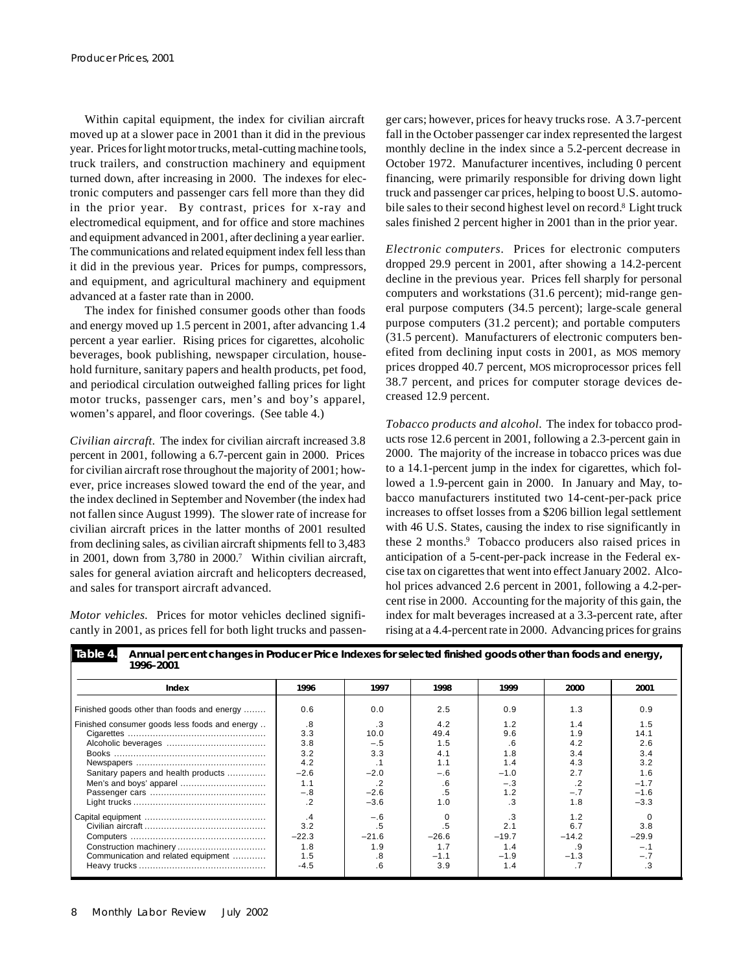Within capital equipment, the index for civilian aircraft moved up at a slower pace in 2001 than it did in the previous year. Prices for light motor trucks, metal-cutting machine tools, truck trailers, and construction machinery and equipment turned down, after increasing in 2000. The indexes for electronic computers and passenger cars fell more than they did in the prior year. By contrast, prices for x-ray and electromedical equipment, and for office and store machines and equipment advanced in 2001, after declining a year earlier. The communications and related equipment index fell less than it did in the previous year. Prices for pumps, compressors, and equipment, and agricultural machinery and equipment advanced at a faster rate than in 2000.

The index for finished consumer goods other than foods and energy moved up 1.5 percent in 2001, after advancing 1.4 percent a year earlier. Rising prices for cigarettes, alcoholic beverages, book publishing, newspaper circulation, household furniture, sanitary papers and health products, pet food, and periodical circulation outweighed falling prices for light motor trucks, passenger cars, men's and boy's apparel, women's apparel, and floor coverings. (See table 4.)

*Civilian aircraft.* The index for civilian aircraft increased 3.8 percent in 2001, following a 6.7-percent gain in 2000. Prices for civilian aircraft rose throughout the majority of 2001; however, price increases slowed toward the end of the year, and the index declined in September and November (the index had not fallen since August 1999). The slower rate of increase for civilian aircraft prices in the latter months of 2001 resulted from declining sales, as civilian aircraft shipments fell to 3,483 in 2001, down from 3,780 in 2000.<sup>7</sup> Within civilian aircraft, sales for general aviation aircraft and helicopters decreased, and sales for transport aircraft advanced.

*Motor vehicles.* Prices for motor vehicles declined significantly in 2001, as prices fell for both light trucks and passenger cars; however, prices for heavy trucks rose. A 3.7-percent fall in the October passenger car index represented the largest monthly decline in the index since a 5.2-percent decrease in October 1972. Manufacturer incentives, including 0 percent financing, were primarily responsible for driving down light truck and passenger car prices, helping to boost U.S. automobile sales to their second highest level on record.<sup>8</sup> Light truck sales finished 2 percent higher in 2001 than in the prior year.

*Electronic computers.* Prices for electronic computers dropped 29.9 percent in 2001, after showing a 14.2-percent decline in the previous year. Prices fell sharply for personal computers and workstations (31.6 percent); mid-range general purpose computers (34.5 percent); large-scale general purpose computers (31.2 percent); and portable computers (31.5 percent). Manufacturers of electronic computers benefited from declining input costs in 2001, as MOS memory prices dropped 40.7 percent, MOS microprocessor prices fell 38.7 percent, and prices for computer storage devices decreased 12.9 percent.

*Tobacco products and alcohol.* The index for tobacco products rose 12.6 percent in 2001, following a 2.3-percent gain in 2000. The majority of the increase in tobacco prices was due to a 14.1-percent jump in the index for cigarettes, which followed a 1.9-percent gain in 2000. In January and May, tobacco manufacturers instituted two 14-cent-per-pack price increases to offset losses from a \$206 billion legal settlement with 46 U.S. States, causing the index to rise significantly in these 2 months.<sup>9</sup> Tobacco producers also raised prices in anticipation of a 5-cent-per-pack increase in the Federal excise tax on cigarettes that went into effect January 2002. Alcohol prices advanced 2.6 percent in 2001, following a 4.2-percent rise in 2000. Accounting for the majority of this gain, the index for malt beverages increased at a 3.3-percent rate, after rising at a 4.4-percent rate in 2000. Advancing prices for grains

| 1770-ZUV 1                                    |         |         |         |         |         |         |
|-----------------------------------------------|---------|---------|---------|---------|---------|---------|
| Index                                         | 1996    | 1997    | 1998    | 1999    | 2000    | 2001    |
| Finished goods other than foods and energy    | 0.6     | 0.0     | 2.5     | 0.9     | 1.3     | 0.9     |
| Finished consumer goods less foods and energy | .8      | .3      | 4.2     | 1.2     | 1.4     | 1.5     |
|                                               | 3.3     | 10.0    | 49.4    | 9.6     | 1.9     | 14.1    |
|                                               | 3.8     | $-.5$   | 1.5     | .6      | 4.2     | 2.6     |
|                                               | 3.2     | 3.3     | 4.1     | 1.8     | 3.4     | 3.4     |
|                                               | 4.2     |         | 1.1     | 1.4     | 4.3     | 3.2     |
| Sanitary papers and health products           | $-2.6$  | $-2.0$  | $-.6$   | $-1.0$  | 2.7     | 1.6     |
| Men's and boys' apparel                       | 1.1     |         | .6      | $-.3$   | $\cdot$ | $-1.7$  |
|                                               | $-.8$   | $-2.6$  | $.5\,$  | 1.2     | $-.7$   | $-1.6$  |
|                                               | $\cdot$ | $-3.6$  | 1.0     | .3      | 1.8     | $-3.3$  |
|                                               | .4      | $-.6$   |         |         | 1.2     |         |
|                                               | 3.2     | $.5\,$  |         | 2.1     | 6.7     | 3.8     |
|                                               | $-22.3$ | $-21.6$ | $-26.6$ | $-19.7$ | $-14.2$ | $-29.9$ |
|                                               | 1.8     | 1.9     | 1.7     | 1.4     | .9      | $-.1$   |
| Communication and related equipment           | 1.5     | .8      | $-1.1$  | $-1.9$  | $-1.3$  | $-.7$   |
|                                               | $-4.5$  | .6      | 3.9     | 1.4     | .7      | .3      |
|                                               |         |         |         |         |         |         |

**Table 4. Annual percent changes in Producer Price Indexes for selected finished goods other than foods and energy, 1996–2001**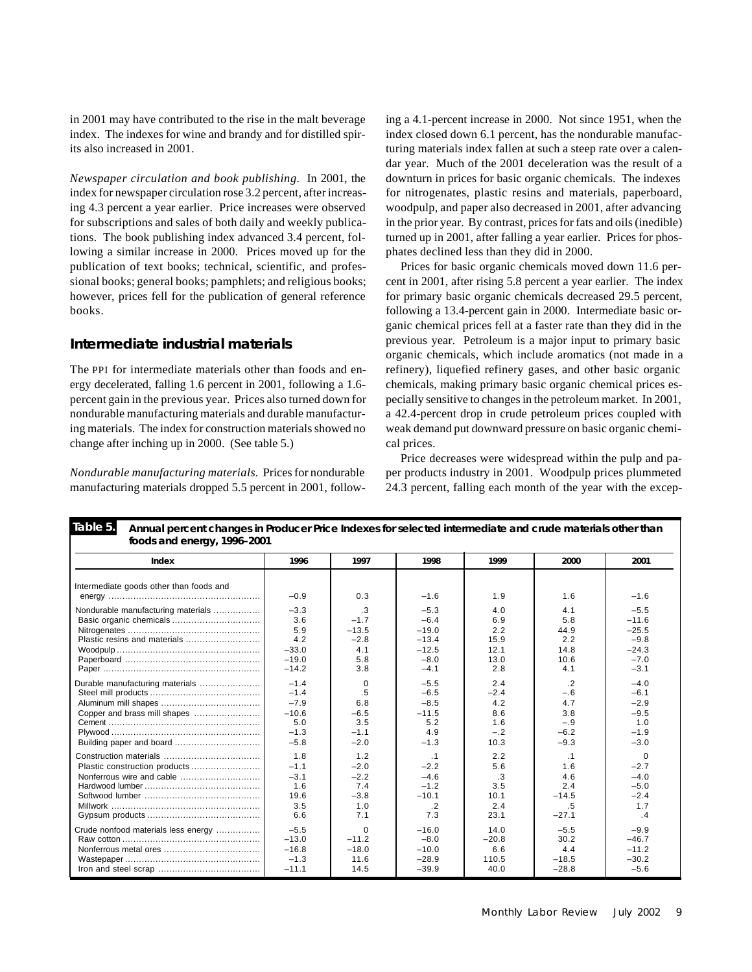in 2001 may have contributed to the rise in the malt beverage index. The indexes for wine and brandy and for distilled spirits also increased in 2001.

*Newspaper circulation and book publishing.* In 2001, the index for newspaper circulation rose 3.2 percent, after increasing 4.3 percent a year earlier. Price increases were observed for subscriptions and sales of both daily and weekly publications. The book publishing index advanced 3.4 percent, following a similar increase in 2000. Prices moved up for the publication of text books; technical, scientific, and professional books; general books; pamphlets; and religious books; however, prices fell for the publication of general reference books.

### **Intermediate industrial materials**

The PPI for intermediate materials other than foods and energy decelerated, falling 1.6 percent in 2001, following a 1.6 percent gain in the previous year. Prices also turned down for nondurable manufacturing materials and durable manufacturing materials. The index for construction materials showed no change after inching up in 2000. (See table 5.)

*Nondurable manufacturing materials.* Prices for nondurable manufacturing materials dropped 5.5 percent in 2001, following a 4.1-percent increase in 2000. Not since 1951, when the index closed down 6.1 percent, has the nondurable manufacturing materials index fallen at such a steep rate over a calendar year. Much of the 2001 deceleration was the result of a downturn in prices for basic organic chemicals. The indexes for nitrogenates, plastic resins and materials, paperboard, woodpulp, and paper also decreased in 2001, after advancing in the prior year. By contrast, prices for fats and oils (inedible) turned up in 2001, after falling a year earlier. Prices for phosphates declined less than they did in 2000.

Prices for basic organic chemicals moved down 11.6 percent in 2001, after rising 5.8 percent a year earlier. The index for primary basic organic chemicals decreased 29.5 percent, following a 13.4-percent gain in 2000. Intermediate basic organic chemical prices fell at a faster rate than they did in the previous year. Petroleum is a major input to primary basic organic chemicals, which include aromatics (not made in a refinery), liquefied refinery gases, and other basic organic chemicals, making primary basic organic chemical prices especially sensitive to changes in the petroleum market. In 2001, a 42.4-percent drop in crude petroleum prices coupled with weak demand put downward pressure on basic organic chemical prices.

Price decreases were widespread within the pulp and paper products industry in 2001. Woodpulp prices plummeted 24.3 percent, falling each month of the year with the excep-

| Table 5.<br>Annual percent changes in Producer Price Indexes for selected intermediate and crude materials other than<br>foods and energy, 1996-2001 |         |           |           |           |           |             |
|------------------------------------------------------------------------------------------------------------------------------------------------------|---------|-----------|-----------|-----------|-----------|-------------|
| Index                                                                                                                                                | 1996    | 1997      | 1998      | 1999      | 2000      | 2001        |
| Intermediate goods other than foods and                                                                                                              | $-0.9$  | 0.3       | $-1.6$    | 1.9       | 1.6       | $-1.6$      |
| Nondurable manufacturing materials                                                                                                                   | $-3.3$  | $\cdot$ 3 | $-5.3$    | 4.0       | 4.1       | $-5.5$      |
|                                                                                                                                                      | 3.6     | $-1.7$    | $-6.4$    | 6.9       | 5.8       | $-11.6$     |
|                                                                                                                                                      | 5.9     | $-13.5$   | $-19.0$   | 2.2       | 44.9      | $-25.5$     |
| Plastic resins and materials                                                                                                                         | 4.2     | $-2.8$    | $-13.4$   | 15.9      | 2.2       | $-9.8$      |
|                                                                                                                                                      | $-33.0$ | 4.1       | $-12.5$   | 12.1      | 14.8      | $-24.3$     |
|                                                                                                                                                      | $-19.0$ | 5.8       | $-8.0$    | 13.0      | 10.6      | $-7.0$      |
|                                                                                                                                                      | $-14.2$ | 3.8       | $-4.1$    | 2.8       | 4.1       | $-3.1$      |
| Durable manufacturing materials                                                                                                                      | $-1.4$  | 0         | $-5.5$    | 2.4       | .2        | $-4.0$      |
|                                                                                                                                                      | $-1.4$  | .5        | $-6.5$    | $-2.4$    | $-.6$     | $-6.1$      |
|                                                                                                                                                      | $-7.9$  | 6.8       | $-8.5$    | 4.2       | 4.7       | $-2.9$      |
| Copper and brass mill shapes                                                                                                                         | $-10.6$ | $-6.5$    | $-11.5$   | 8.6       | 3.8       | $-9.5$      |
|                                                                                                                                                      | 5.0     | 3.5       | 5.2       | 1.6       | $-.9$     | 1.0         |
|                                                                                                                                                      | $-1.3$  | $-1.1$    | 4.9       | $-.2$     | $-6.2$    | $-1.9$      |
| Building paper and board                                                                                                                             | $-5.8$  | $-2.0$    | $-1.3$    | 10.3      | $-9.3$    | $-3.0$      |
|                                                                                                                                                      | 1.8     | 1.2       | $\cdot$ 1 | 2.2       | $\cdot$ 1 | $\mathbf 0$ |
| Plastic construction products                                                                                                                        | $-1.1$  | $-2.0$    | $-2.2$    | 5.6       | 1.6       | $-2.7$      |
| Nonferrous wire and cable                                                                                                                            | $-3.1$  | $-2.2$    | $-4.6$    | $\cdot$ 3 | 4.6       | $-4.0$      |
|                                                                                                                                                      | 1.6     | 7.4       | $-1.2$    | 3.5       | 2.4       | $-5.0$      |
|                                                                                                                                                      | 19.6    | $-3.8$    | $-10.1$   | 10.1      | $-14.5$   | $-2.4$      |
|                                                                                                                                                      | 3.5     | 1.0       | $\cdot$ 2 | 2.4       | .5        | 1.7         |
|                                                                                                                                                      | 6.6     | 7.1       | 7.3       | 23.1      | $-27.1$   | .4          |
| Crude nonfood materials less energy                                                                                                                  | $-5.5$  | $\Omega$  | $-16.0$   | 14.0      | $-5.5$    | $-9.9$      |
|                                                                                                                                                      | $-13.0$ | $-11.2$   | $-8.0$    | $-20.8$   | 30.2      | $-46.7$     |
|                                                                                                                                                      | $-16.8$ | $-18.0$   | $-10.0$   | 6.6       | 4.4       | $-11.2$     |
|                                                                                                                                                      | $-1.3$  | 11.6      | $-28.9$   | 110.5     | $-18.5$   | $-30.2$     |
|                                                                                                                                                      | $-11.1$ | 14.5      | $-39.9$   | 40.0      | $-28.8$   | $-5.6$      |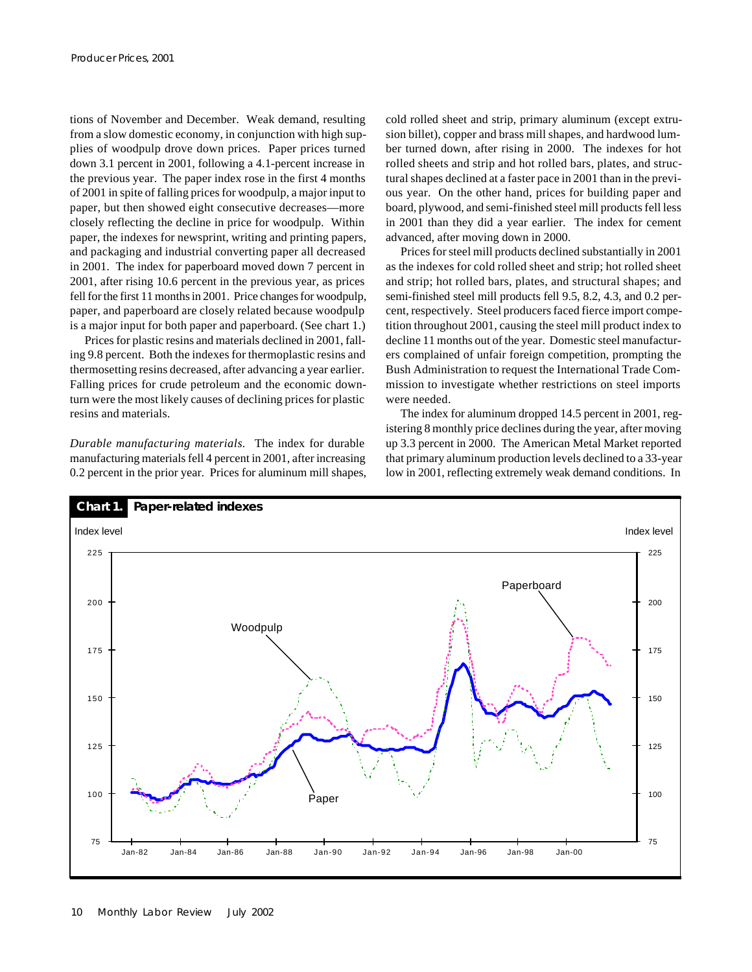tions of November and December. Weak demand, resulting from a slow domestic economy, in conjunction with high supplies of woodpulp drove down prices. Paper prices turned down 3.1 percent in 2001, following a 4.1-percent increase in the previous year. The paper index rose in the first 4 months of 2001 in spite of falling prices for woodpulp, a major input to paper, but then showed eight consecutive decreases—more closely reflecting the decline in price for woodpulp. Within paper, the indexes for newsprint, writing and printing papers, and packaging and industrial converting paper all decreased in 2001. The index for paperboard moved down 7 percent in 2001, after rising 10.6 percent in the previous year, as prices fell for the first 11 months in 2001. Price changes for woodpulp, paper, and paperboard are closely related because woodpulp is a major input for both paper and paperboard. (See chart 1.)

Prices for plastic resins and materials declined in 2001, falling 9.8 percent. Both the indexes for thermoplastic resins and thermosetting resins decreased, after advancing a year earlier. Falling prices for crude petroleum and the economic downturn were the most likely causes of declining prices for plastic resins and materials.

*Durable manufacturing materials.* The index for durable manufacturing materials fell 4 percent in 2001, after increasing 0.2 percent in the prior year. Prices for aluminum mill shapes, cold rolled sheet and strip, primary aluminum (except extrusion billet), copper and brass mill shapes, and hardwood lumber turned down, after rising in 2000. The indexes for hot rolled sheets and strip and hot rolled bars, plates, and structural shapes declined at a faster pace in 2001 than in the previous year. On the other hand, prices for building paper and board, plywood, and semi-finished steel mill products fell less in 2001 than they did a year earlier. The index for cement advanced, after moving down in 2000.

Prices for steel mill products declined substantially in 2001 as the indexes for cold rolled sheet and strip; hot rolled sheet and strip; hot rolled bars, plates, and structural shapes; and semi-finished steel mill products fell 9.5, 8.2, 4.3, and 0.2 percent, respectively. Steel producers faced fierce import competition throughout 2001, causing the steel mill product index to decline 11 months out of the year. Domestic steel manufacturers complained of unfair foreign competition, prompting the Bush Administration to request the International Trade Commission to investigate whether restrictions on steel imports were needed.

The index for aluminum dropped 14.5 percent in 2001, registering 8 monthly price declines during the year, after moving up 3.3 percent in 2000. The American Metal Market reported that primary aluminum production levels declined to a 33-year low in 2001, reflecting extremely weak demand conditions. In

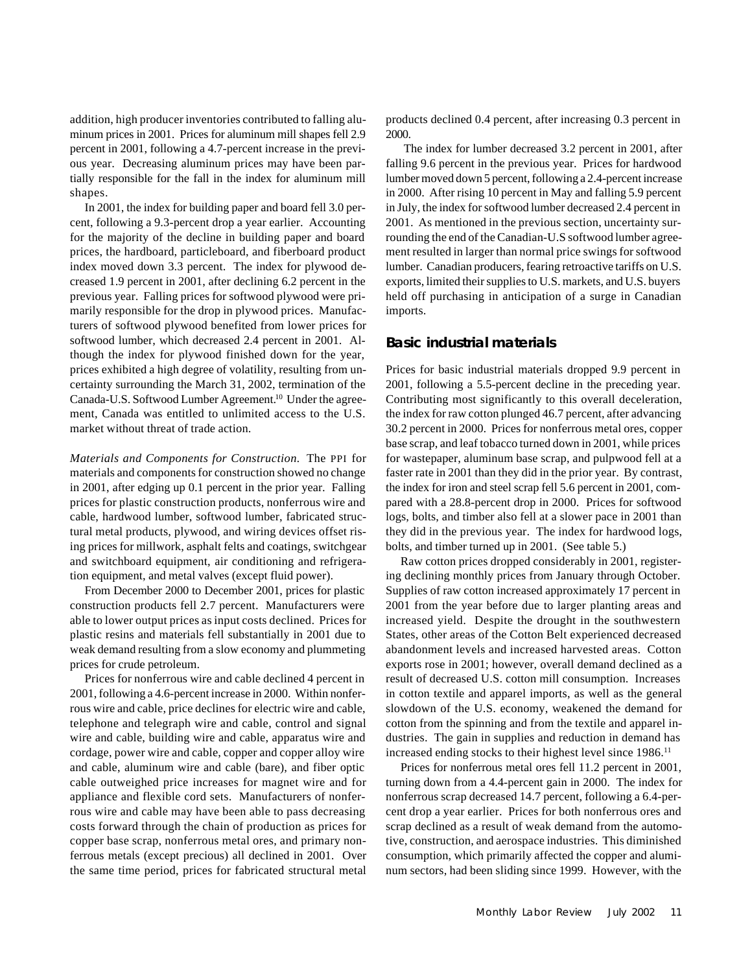addition, high producer inventories contributed to falling aluminum prices in 2001. Prices for aluminum mill shapes fell 2.9 percent in 2001, following a 4.7-percent increase in the previous year. Decreasing aluminum prices may have been partially responsible for the fall in the index for aluminum mill shapes.

In 2001, the index for building paper and board fell 3.0 percent, following a 9.3-percent drop a year earlier. Accounting for the majority of the decline in building paper and board prices, the hardboard, particleboard, and fiberboard product index moved down 3.3 percent. The index for plywood decreased 1.9 percent in 2001, after declining 6.2 percent in the previous year. Falling prices for softwood plywood were primarily responsible for the drop in plywood prices. Manufacturers of softwood plywood benefited from lower prices for softwood lumber, which decreased 2.4 percent in 2001. Although the index for plywood finished down for the year, prices exhibited a high degree of volatility, resulting from uncertainty surrounding the March 31, 2002, termination of the Canada-U.S. Softwood Lumber Agreement.<sup>10</sup> Under the agreement, Canada was entitled to unlimited access to the U.S. market without threat of trade action.

*Materials and Components for Construction.* The PPI for materials and components for construction showed no change in 2001, after edging up 0.1 percent in the prior year. Falling prices for plastic construction products, nonferrous wire and cable, hardwood lumber, softwood lumber, fabricated structural metal products, plywood, and wiring devices offset rising prices for millwork, asphalt felts and coatings, switchgear and switchboard equipment, air conditioning and refrigeration equipment, and metal valves (except fluid power).

From December 2000 to December 2001, prices for plastic construction products fell 2.7 percent. Manufacturers were able to lower output prices as input costs declined. Prices for plastic resins and materials fell substantially in 2001 due to weak demand resulting from a slow economy and plummeting prices for crude petroleum.

Prices for nonferrous wire and cable declined 4 percent in 2001, following a 4.6-percent increase in 2000. Within nonferrous wire and cable, price declines for electric wire and cable, telephone and telegraph wire and cable, control and signal wire and cable, building wire and cable, apparatus wire and cordage, power wire and cable, copper and copper alloy wire and cable, aluminum wire and cable (bare), and fiber optic cable outweighed price increases for magnet wire and for appliance and flexible cord sets. Manufacturers of nonferrous wire and cable may have been able to pass decreasing costs forward through the chain of production as prices for copper base scrap, nonferrous metal ores, and primary nonferrous metals (except precious) all declined in 2001. Over the same time period, prices for fabricated structural metal

products declined 0.4 percent, after increasing 0.3 percent in 2000.

 The index for lumber decreased 3.2 percent in 2001, after falling 9.6 percent in the previous year. Prices for hardwood lumber moved down 5 percent, following a 2.4-percent increase in 2000. After rising 10 percent in May and falling 5.9 percent in July, the index for softwood lumber decreased 2.4 percent in 2001. As mentioned in the previous section, uncertainty surrounding the end of the Canadian-U.S softwood lumber agreement resulted in larger than normal price swings for softwood lumber. Canadian producers, fearing retroactive tariffs on U.S. exports, limited their supplies to U.S. markets, and U.S. buyers held off purchasing in anticipation of a surge in Canadian imports.

#### **Basic industrial materials**

Prices for basic industrial materials dropped 9.9 percent in 2001, following a 5.5-percent decline in the preceding year. Contributing most significantly to this overall deceleration, the index for raw cotton plunged 46.7 percent, after advancing 30.2 percent in 2000. Prices for nonferrous metal ores, copper base scrap, and leaf tobacco turned down in 2001, while prices for wastepaper, aluminum base scrap, and pulpwood fell at a faster rate in 2001 than they did in the prior year. By contrast, the index for iron and steel scrap fell 5.6 percent in 2001, compared with a 28.8-percent drop in 2000. Prices for softwood logs, bolts, and timber also fell at a slower pace in 2001 than they did in the previous year. The index for hardwood logs, bolts, and timber turned up in 2001. (See table 5.)

Raw cotton prices dropped considerably in 2001, registering declining monthly prices from January through October. Supplies of raw cotton increased approximately 17 percent in 2001 from the year before due to larger planting areas and increased yield. Despite the drought in the southwestern States, other areas of the Cotton Belt experienced decreased abandonment levels and increased harvested areas. Cotton exports rose in 2001; however, overall demand declined as a result of decreased U.S. cotton mill consumption. Increases in cotton textile and apparel imports, as well as the general slowdown of the U.S. economy, weakened the demand for cotton from the spinning and from the textile and apparel industries. The gain in supplies and reduction in demand has increased ending stocks to their highest level since 1986.<sup>11</sup>

Prices for nonferrous metal ores fell 11.2 percent in 2001, turning down from a 4.4-percent gain in 2000. The index for nonferrous scrap decreased 14.7 percent, following a 6.4-percent drop a year earlier. Prices for both nonferrous ores and scrap declined as a result of weak demand from the automotive, construction, and aerospace industries. This diminished consumption, which primarily affected the copper and aluminum sectors, had been sliding since 1999. However, with the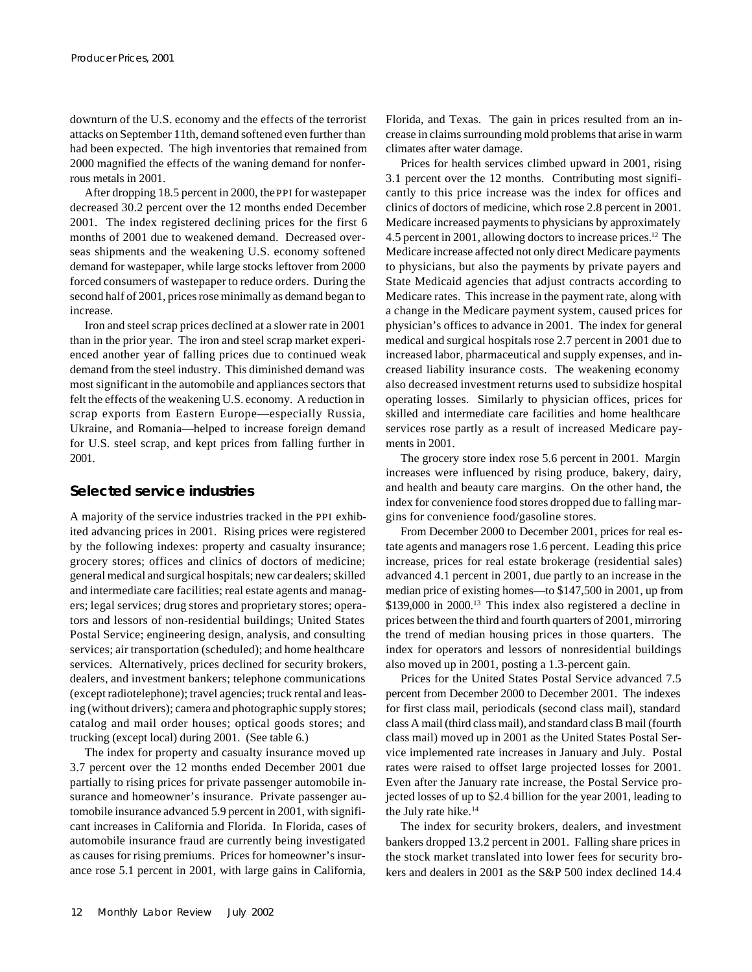downturn of the U.S. economy and the effects of the terrorist attacks on September 11th, demand softened even further than had been expected. The high inventories that remained from 2000 magnified the effects of the waning demand for nonferrous metals in 2001.

After dropping 18.5 percent in 2000, the PPI for wastepaper decreased 30.2 percent over the 12 months ended December 2001. The index registered declining prices for the first 6 months of 2001 due to weakened demand. Decreased overseas shipments and the weakening U.S. economy softened demand for wastepaper, while large stocks leftover from 2000 forced consumers of wastepaper to reduce orders. During the second half of 2001, prices rose minimally as demand began to increase.

Iron and steel scrap prices declined at a slower rate in 2001 than in the prior year. The iron and steel scrap market experienced another year of falling prices due to continued weak demand from the steel industry. This diminished demand was most significant in the automobile and appliances sectors that felt the effects of the weakening U.S. economy. A reduction in scrap exports from Eastern Europe—especially Russia, Ukraine, and Romania—helped to increase foreign demand for U.S. steel scrap, and kept prices from falling further in 2001.

#### **Selected service industries**

A majority of the service industries tracked in the PPI exhibited advancing prices in 2001. Rising prices were registered by the following indexes: property and casualty insurance; grocery stores; offices and clinics of doctors of medicine; general medical and surgical hospitals; new car dealers; skilled and intermediate care facilities; real estate agents and managers; legal services; drug stores and proprietary stores; operators and lessors of non-residential buildings; United States Postal Service; engineering design, analysis, and consulting services; air transportation (scheduled); and home healthcare services. Alternatively, prices declined for security brokers, dealers, and investment bankers; telephone communications (except radiotelephone); travel agencies; truck rental and leasing (without drivers); camera and photographic supply stores; catalog and mail order houses; optical goods stores; and trucking (except local) during 2001. (See table 6.)

The index for property and casualty insurance moved up 3.7 percent over the 12 months ended December 2001 due partially to rising prices for private passenger automobile insurance and homeowner's insurance. Private passenger automobile insurance advanced 5.9 percent in 2001, with significant increases in California and Florida. In Florida, cases of automobile insurance fraud are currently being investigated as causes for rising premiums. Prices for homeowner's insurance rose 5.1 percent in 2001, with large gains in California,

Florida, and Texas. The gain in prices resulted from an increase in claims surrounding mold problems that arise in warm climates after water damage.

Prices for health services climbed upward in 2001, rising 3.1 percent over the 12 months. Contributing most significantly to this price increase was the index for offices and clinics of doctors of medicine, which rose 2.8 percent in 2001. Medicare increased payments to physicians by approximately 4.5 percent in 2001, allowing doctors to increase prices.12 The Medicare increase affected not only direct Medicare payments to physicians, but also the payments by private payers and State Medicaid agencies that adjust contracts according to Medicare rates. This increase in the payment rate, along with a change in the Medicare payment system, caused prices for physician's offices to advance in 2001. The index for general medical and surgical hospitals rose 2.7 percent in 2001 due to increased labor, pharmaceutical and supply expenses, and increased liability insurance costs. The weakening economy also decreased investment returns used to subsidize hospital operating losses. Similarly to physician offices, prices for skilled and intermediate care facilities and home healthcare services rose partly as a result of increased Medicare payments in 2001.

The grocery store index rose 5.6 percent in 2001. Margin increases were influenced by rising produce, bakery, dairy, and health and beauty care margins. On the other hand, the index for convenience food stores dropped due to falling margins for convenience food/gasoline stores.

From December 2000 to December 2001, prices for real estate agents and managers rose 1.6 percent. Leading this price increase, prices for real estate brokerage (residential sales) advanced 4.1 percent in 2001, due partly to an increase in the median price of existing homes—to \$147,500 in 2001, up from \$139,000 in 2000.<sup>13</sup> This index also registered a decline in prices between the third and fourth quarters of 2001, mirroring the trend of median housing prices in those quarters. The index for operators and lessors of nonresidential buildings also moved up in 2001, posting a 1.3-percent gain.

Prices for the United States Postal Service advanced 7.5 percent from December 2000 to December 2001. The indexes for first class mail, periodicals (second class mail), standard class A mail (third class mail), and standard class B mail (fourth class mail) moved up in 2001 as the United States Postal Service implemented rate increases in January and July. Postal rates were raised to offset large projected losses for 2001. Even after the January rate increase, the Postal Service projected losses of up to \$2.4 billion for the year 2001, leading to the July rate hike.<sup>14</sup>

The index for security brokers, dealers, and investment bankers dropped 13.2 percent in 2001. Falling share prices in the stock market translated into lower fees for security brokers and dealers in 2001 as the S&P 500 index declined 14.4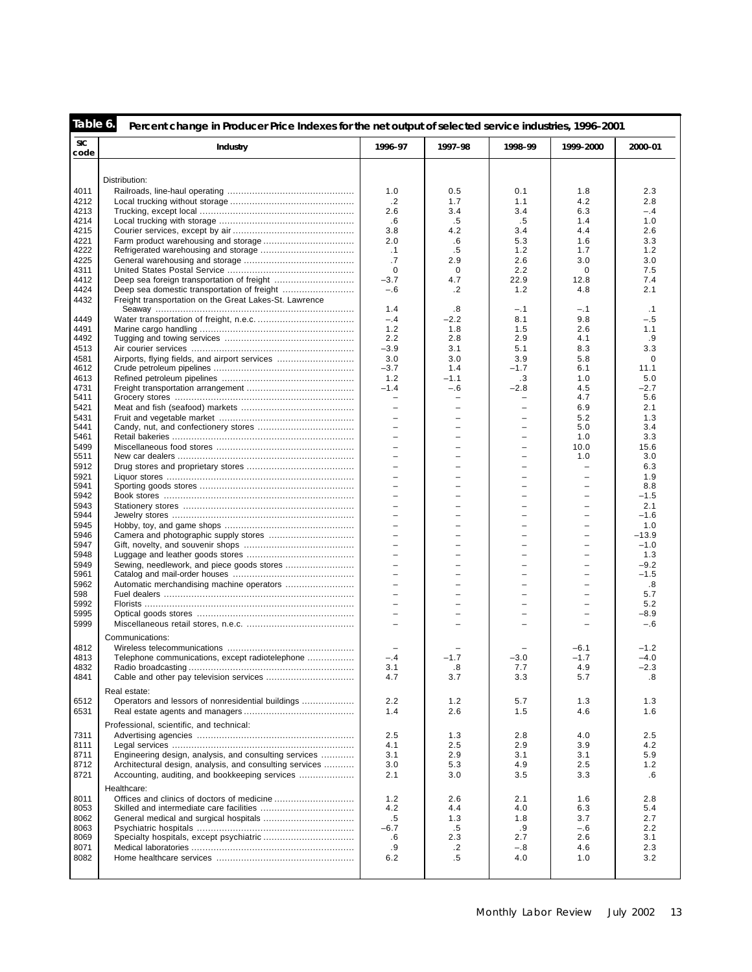| Table 6.           | Percent change in Producer Price Indexes for the net output of selected service industries, 1996-2001 |                          |                          |            |                          |             |
|--------------------|-------------------------------------------------------------------------------------------------------|--------------------------|--------------------------|------------|--------------------------|-------------|
| <b>SIC</b><br>code | Industry                                                                                              | 1996-97                  | 1997-98                  | 1998-99    | 1999-2000                | 2000-01     |
|                    |                                                                                                       |                          |                          |            |                          |             |
|                    | Distribution:                                                                                         |                          |                          |            |                          |             |
| 4011               |                                                                                                       | 1.0                      | 0.5                      | 0.1        | 1.8                      | 2.3         |
| 4212               |                                                                                                       | .2                       | 1.7                      | 1.1        | 4.2                      | 2.8         |
| 4213               |                                                                                                       | 2.6                      | 3.4                      | 3.4        | 6.3                      | $-.4$       |
| 4214               |                                                                                                       | .6                       | .5                       | $.5\,$     | 1.4                      | 1.0         |
| 4215               |                                                                                                       | 3.8                      | 4.2                      | 3.4        | 4.4                      | 2.6         |
| 4221               |                                                                                                       | 2.0                      | .6                       | 5.3        | 1.6                      | 3.3         |
| 4222               |                                                                                                       | $\cdot$ 1                | .5                       | 1.2        | 1.7                      | 1.2         |
| 4225               |                                                                                                       | .7                       | 2.9                      | 2.6        | 3.0                      | 3.0         |
| 4311               |                                                                                                       | $\mathbf 0$              | $\mathbf 0$              | 2.2        | $\mathbf 0$              | 7.5         |
| 4412               |                                                                                                       | $-3.7$                   | 4.7                      | 22.9       | 12.8                     | 7.4         |
| 4424               |                                                                                                       | $-.6$                    | .2                       | 1.2        | 4.8                      | 2.1         |
| 4432               | Freight transportation on the Great Lakes-St. Lawrence                                                | 1.4                      | .8                       | $-.1$      |                          | .1          |
|                    |                                                                                                       | $-.4$                    | $-2.2$                   |            | -.1                      |             |
| 4449               |                                                                                                       |                          |                          | 8.1        | 9.8                      | $-.5$       |
| 4491<br>4492       |                                                                                                       | 1.2<br>2.2               | 1.8<br>2.8               | 1.5<br>2.9 | 2.6<br>4.1               | 1.1<br>.9   |
| 4513               |                                                                                                       | $-3.9$                   | 3.1                      | 5.1        | 8.3                      | 3.3         |
| 4581               | Airports, flying fields, and airport services                                                         | 3.0                      | 3.0                      | 3.9        | 5.8                      | $\mathbf 0$ |
| 4612               |                                                                                                       | $-3.7$                   | 1.4                      | $-1.7$     | 6.1                      | 11.1        |
| 4613               |                                                                                                       | 1.2                      | $-1.1$                   | .3         | 1.0                      | 5.0         |
| 4731               |                                                                                                       | $-1.4$                   | $-.6$                    | $-2.8$     | 4.5                      | $-2.7$      |
| 5411               |                                                                                                       | $\overline{\phantom{0}}$ | $\overline{\phantom{0}}$ | ۳          | 4.7                      | 5.6         |
| 5421               |                                                                                                       |                          |                          | ۰          | 6.9                      | 2.1         |
| 5431               |                                                                                                       | $\overline{\phantom{0}}$ | ÷,                       | ۳          | 5.2                      | 1.3         |
| 5441               |                                                                                                       | ۳                        | $\equiv$                 | $\equiv$   | 5.0                      | 3.4         |
|                    |                                                                                                       |                          |                          |            |                          | 3.3         |
| 5461               |                                                                                                       | $\overline{\phantom{0}}$ | ÷,                       | ÷,         | 1.0                      |             |
| 5499<br>5511       |                                                                                                       | $\overline{\phantom{0}}$ | -                        | ÷          | 10.0<br>1.0              | 15.6<br>3.0 |
| 5912               |                                                                                                       |                          |                          |            | $\overline{\phantom{0}}$ | 6.3         |
| 5921               |                                                                                                       | $\overline{\phantom{a}}$ | -                        | ÷          | $\overline{\phantom{0}}$ | 1.9         |
| 5941               |                                                                                                       | L.                       | -                        | ÷          | $\overline{\phantom{0}}$ | 8.8         |
| 5942               |                                                                                                       |                          |                          |            |                          | $-1.5$      |
| 5943               |                                                                                                       | $\overline{\phantom{0}}$ | ÷,                       | ÷,         | $\equiv$                 | 2.1         |
| 5944               |                                                                                                       | $\overline{\phantom{0}}$ | -                        | ÷          |                          | $-1.6$      |
| 5945               |                                                                                                       |                          |                          |            |                          | 1.0         |
| 5946               |                                                                                                       | $\overline{\phantom{a}}$ | $\equiv$                 | $\equiv$   | $\equiv$                 | $-13.9$     |
| 5947               |                                                                                                       | L.                       | $\equiv$                 | ÷          | $\equiv$                 | $-1.0$      |
| 5948               |                                                                                                       |                          |                          |            |                          | 1.3         |
| 5949               |                                                                                                       | $\overline{\phantom{a}}$ | ÷,                       | ÷,         | $\equiv$                 | $-9.2$      |
| 5961               |                                                                                                       | $=$                      | -                        | ۳          |                          | $-1.5$      |
| 5962               |                                                                                                       |                          |                          |            |                          | .8          |
| 598                |                                                                                                       | $\equiv$                 | $\equiv$                 | $\equiv$   | $\equiv$                 | 5.7         |
| 5992               |                                                                                                       | $\equiv$                 | $\equiv$                 | ÷          | $\equiv$                 | 5.2         |
| 5995               |                                                                                                       |                          |                          |            |                          | $-8.9$      |
| 5999               |                                                                                                       | $\equiv$                 |                          |            |                          | $-.6$       |
|                    |                                                                                                       |                          |                          |            |                          |             |
|                    | Communications:                                                                                       |                          |                          |            |                          |             |
| 4812               |                                                                                                       |                          |                          |            | $-6.1$                   | $-1.2$      |
| 4813               | Telephone communications, except radiotelephone                                                       | $-.4$                    | $-1.7$                   | $-3.0$     | $-1.7$                   | $-4.0$      |
| 4832               |                                                                                                       | 3.1                      | .8                       | 7.7        | 4.9                      | -2.3        |
| 4841               |                                                                                                       | 4.7                      | 3.7                      | 3.3        | 5.7                      | .8          |
|                    | Real estate:                                                                                          |                          |                          |            |                          |             |
| 6512               | Operators and lessors of nonresidential buildings                                                     | 2.2                      | 1.2                      | 5.7        | 1.3                      | 1.3         |
| 6531               |                                                                                                       | 1.4                      | 2.6                      | 1.5        | 4.6                      | 1.6         |
|                    |                                                                                                       |                          |                          |            |                          |             |
|                    | Professional, scientific, and technical:                                                              |                          |                          |            |                          |             |
| 7311               |                                                                                                       | 2.5                      | 1.3                      | 2.8        | 4.0                      | 2.5         |
| 8111               |                                                                                                       | 4.1                      | 2.5                      | 2.9        | 3.9                      | 4.2         |
| 8711               | Engineering design, analysis, and consulting services                                                 | 3.1                      | 2.9                      | 3.1        | 3.1                      | 5.9         |
| 8712               | Architectural design, analysis, and consulting services                                               | 3.0                      | 5.3                      | 4.9        | 2.5                      | 1.2         |
| 8721               | Accounting, auditing, and bookkeeping services                                                        | 2.1                      | 3.0                      | 3.5        | 3.3                      | .6          |
|                    | Healthcare:                                                                                           |                          |                          |            |                          |             |
| 8011               |                                                                                                       | 1.2                      | 2.6                      | 2.1        | 1.6                      | 2.8         |
| 8053               |                                                                                                       | 4.2                      | 4.4                      | 4.0        | 6.3                      | 5.4         |
| 8062               |                                                                                                       | $.5\,$                   | 1.3                      | 1.8        | 3.7                      | 2.7         |
| 8063               |                                                                                                       | $-6.7$                   | $.5\,$                   | .9         | $-.6$                    | 2.2         |
| 8069               |                                                                                                       | .6                       | 2.3                      | 2.7        | 2.6                      | 3.1         |
| 8071               |                                                                                                       | .9                       | .2                       | $-.8$      | 4.6                      | 2.3         |
| 8082               |                                                                                                       | 6.2                      | $.5\,$                   | 4.0        | 1.0                      | 3.2         |
|                    |                                                                                                       |                          |                          |            |                          |             |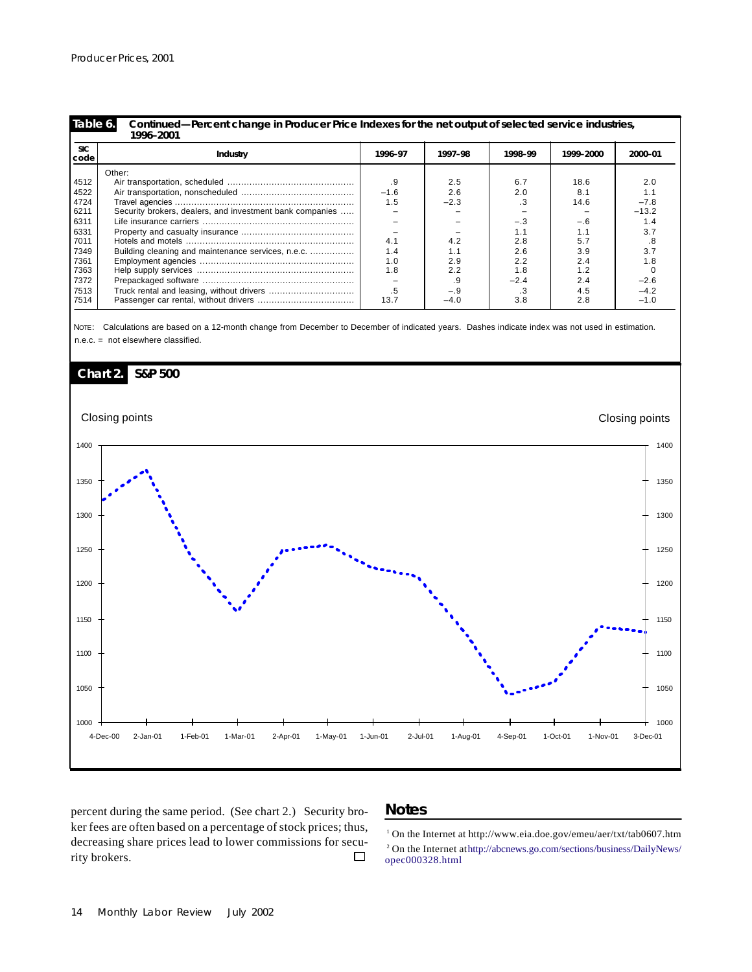| <b>SIC</b><br>code | Industry                                                 | 1996-97 | 1997–98 | 1998-99 | 1999-2000 | 2000-01 |
|--------------------|----------------------------------------------------------|---------|---------|---------|-----------|---------|
|                    | Other:                                                   |         |         |         |           |         |
| 4512               |                                                          | .9      | 2.5     | 6.7     | 18.6      | 2.0     |
| 4522               |                                                          | $-1.6$  | 2.6     | 2.0     | 8.7       | 1.1     |
| 4724               |                                                          | 1.5     | $-2.3$  | .3      | 14.6      | $-7.8$  |
| 6211               | Security brokers, dealers, and investment bank companies |         |         |         |           | $-13.2$ |
| 6311               |                                                          |         |         | $-.3$   | $-.6$     | 1.4     |
| 6331               |                                                          |         |         | 1.1     | 1.1       | 3.7     |
| 7011               |                                                          | 4.1     | 4.2     | 2.8     | 5.7       | .8      |
| 7349               | Building cleaning and maintenance services, n.e.c.       | 1.4     | 1.1     | 2.6     | 3.9       | 3.7     |
| 7361               |                                                          | 1.0     | 2.9     | 2.2     | 2.4       | 1.8     |
| 7363               |                                                          | 1.8     | 2.2     | 1.8     | 1.2       |         |
| 7372               |                                                          |         | .9      | $-2.4$  | 2.4       | $-2.6$  |
| 7513               |                                                          | .5      | $-.9$   | .3      | 4.5       | $-4.2$  |
| 7514               |                                                          | 13.7    | $-4.0$  | 3.8     | 2.8       | $-1.0$  |

NOTE: Calculations are based on a 12-month change from December to December of indicated years. Dashes indicate index was not used in estimation. n.e.c. = not elsewhere classified.



percent during the same period. (See chart 2.) Security broker fees are often based on a percentage of stock prices; thus, decreasing share prices lead to lower commissions for security brokers.  $\Box$ 

#### **Notes**

<sup>1</sup> On the Internet at http://www.eia.doe.gov/emeu/aer/txt/tab0607.htm On the Internet at http://abcnews.go.com/sections/business/DailyNews/ opec000328.html